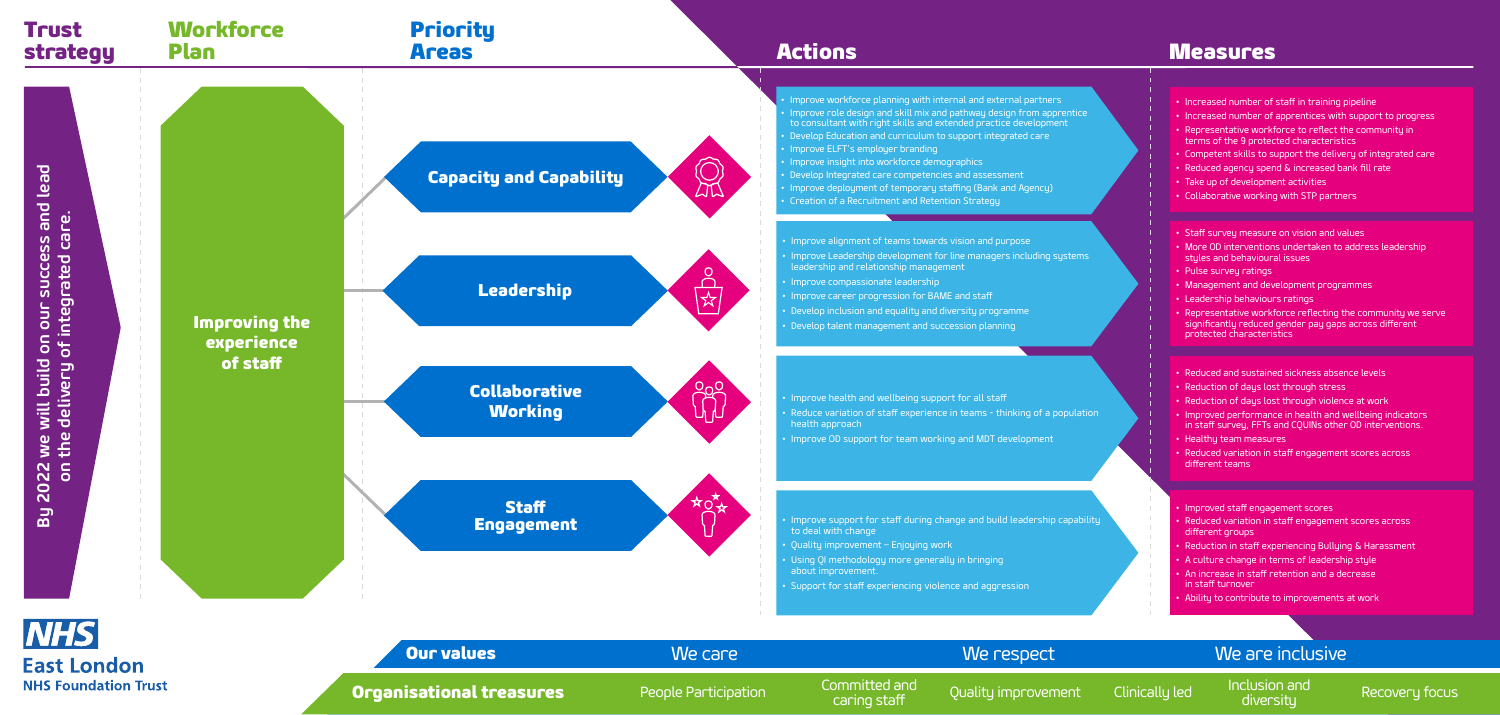